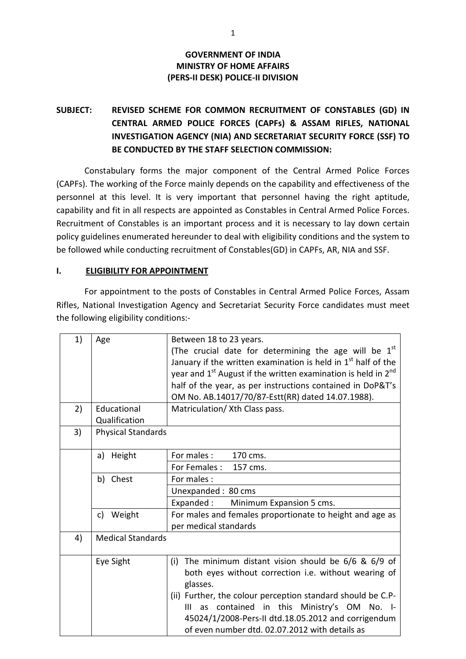### **GOVERNMENT OF INDIA MINISTRY OF HOME AFFAIRS (PERS-II DESK) POLICE-II DIVISION**

# **SUBJECT: REVISED SCHEME FOR COMMON RECRUITMENT OF CONSTABLES (GD) IN CENTRAL ARMED POLICE FORCES (CAPFs) & ASSAM RIFLES, NATIONAL INVESTIGATION AGENCY (NIA) AND SECRETARIAT SECURITY FORCE (SSF) TO BE CONDUCTED BY THE STAFF SELECTION COMMISSION:**

Constabulary forms the major component of the Central Armed Police Forces (CAPFs). The working of the Force mainly depends on the capability and effectiveness of the personnel at this level. It is very important that personnel having the right aptitude, capability and fit in all respects are appointed as Constables in Central Armed Police Forces. Recruitment of Constables is an important process and it is necessary to lay down certain policy guidelines enumerated hereunder to deal with eligibility conditions and the system to be followed while conducting recruitment of Constables(GD) in CAPFs, AR, NIA and SSF.

#### **I. ELIGIBILITY FOR APPOINTMENT**

For appointment to the posts of Constables in Central Armed Police Forces, Assam Rifles, National Investigation Agency and Secretariat Security Force candidates must meet the following eligibility conditions:-

| 1) | Age                       | Between 18 to 23 years.                                                                                                              |  |  |  |  |  |
|----|---------------------------|--------------------------------------------------------------------------------------------------------------------------------------|--|--|--|--|--|
|    |                           | (The crucial date for determining the age will be 1 <sup>st</sup><br>January if the written examination is held in $1st$ half of the |  |  |  |  |  |
|    |                           |                                                                                                                                      |  |  |  |  |  |
|    |                           | year and $1st$ August if the written examination is held in $2nd$                                                                    |  |  |  |  |  |
|    |                           | half of the year, as per instructions contained in DoP&T's                                                                           |  |  |  |  |  |
|    |                           | OM No. AB.14017/70/87-Estt(RR) dated 14.07.1988).                                                                                    |  |  |  |  |  |
| 2) | Educational               | Matriculation/ Xth Class pass.                                                                                                       |  |  |  |  |  |
|    | Qualification             |                                                                                                                                      |  |  |  |  |  |
| 3) | <b>Physical Standards</b> |                                                                                                                                      |  |  |  |  |  |
|    |                           |                                                                                                                                      |  |  |  |  |  |
|    | a) Height                 | For males :<br>170 cms.                                                                                                              |  |  |  |  |  |
|    |                           | For Females :<br>157 cms.                                                                                                            |  |  |  |  |  |
|    | b) Chest                  | For males:                                                                                                                           |  |  |  |  |  |
|    |                           | Unexpanded: 80 cms                                                                                                                   |  |  |  |  |  |
|    |                           | Expanded:<br>Minimum Expansion 5 cms.                                                                                                |  |  |  |  |  |
|    | c) Weight                 | For males and females proportionate to height and age as                                                                             |  |  |  |  |  |
|    |                           | per medical standards                                                                                                                |  |  |  |  |  |
| 4) | <b>Medical Standards</b>  |                                                                                                                                      |  |  |  |  |  |
|    |                           |                                                                                                                                      |  |  |  |  |  |
|    | Eye Sight                 | The minimum distant vision should be $6/6$ & $6/9$ of<br>(i)                                                                         |  |  |  |  |  |
|    |                           | both eyes without correction i.e. without wearing of                                                                                 |  |  |  |  |  |
|    |                           | glasses.                                                                                                                             |  |  |  |  |  |
|    |                           | (ii) Further, the colour perception standard should be C.P-                                                                          |  |  |  |  |  |
|    |                           | as contained in this Ministry's OM<br>III<br>$No.$ I-                                                                                |  |  |  |  |  |
|    |                           | 45024/1/2008-Pers-II dtd.18.05.2012 and corrigendum                                                                                  |  |  |  |  |  |
|    |                           | of even number dtd. 02.07.2012 with details as                                                                                       |  |  |  |  |  |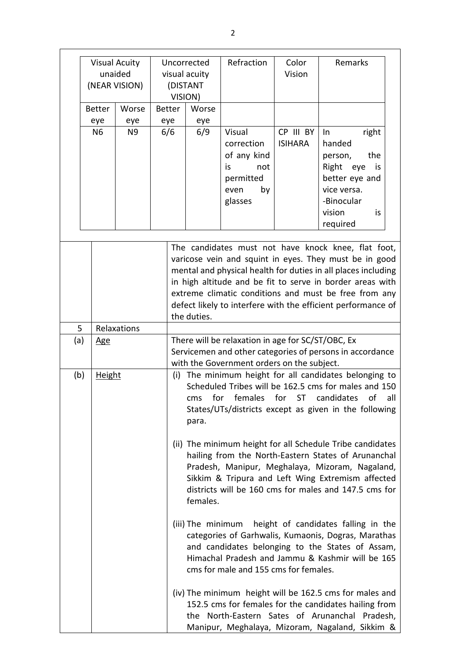|                                                         | <b>Visual Acuity</b><br>unaided<br>(NEAR VISION) |                |                | Uncorrected<br>visual acuity<br>(DISTANT<br>VISION)                                                                                                                                                                                                                                                                                                                                                                                                                                                                                                                                                                       |  | Refraction  | Color<br>Vision                                                                                 | Remarks                     |                                                                                                                                                                                                                                                                                                                                                                      |  |
|---------------------------------------------------------|--------------------------------------------------|----------------|----------------|---------------------------------------------------------------------------------------------------------------------------------------------------------------------------------------------------------------------------------------------------------------------------------------------------------------------------------------------------------------------------------------------------------------------------------------------------------------------------------------------------------------------------------------------------------------------------------------------------------------------------|--|-------------|-------------------------------------------------------------------------------------------------|-----------------------------|----------------------------------------------------------------------------------------------------------------------------------------------------------------------------------------------------------------------------------------------------------------------------------------------------------------------------------------------------------------------|--|
|                                                         |                                                  | <b>Better</b>  | Worse          | <b>Better</b>                                                                                                                                                                                                                                                                                                                                                                                                                                                                                                                                                                                                             |  | Worse       |                                                                                                 |                             |                                                                                                                                                                                                                                                                                                                                                                      |  |
|                                                         |                                                  | eye            | eye            | eye                                                                                                                                                                                                                                                                                                                                                                                                                                                                                                                                                                                                                       |  | eye         |                                                                                                 |                             |                                                                                                                                                                                                                                                                                                                                                                      |  |
|                                                         |                                                  | N <sub>6</sub> | N <sub>9</sub> | 6/6                                                                                                                                                                                                                                                                                                                                                                                                                                                                                                                                                                                                                       |  | 6/9         | Visual<br>correction<br>of any kind<br>is<br>not<br>permitted<br>even<br>by<br>glasses          | CP III BY<br><b>ISIHARA</b> | right<br>In<br>handed<br>the<br>person,<br>Right eye<br>is<br>better eye and<br>vice versa.<br>-Binocular<br>vision<br>is<br>required                                                                                                                                                                                                                                |  |
|                                                         |                                                  |                |                |                                                                                                                                                                                                                                                                                                                                                                                                                                                                                                                                                                                                                           |  | the duties. |                                                                                                 |                             | The candidates must not have knock knee, flat foot,<br>varicose vein and squint in eyes. They must be in good<br>mental and physical health for duties in all places including<br>in high altitude and be fit to serve in border areas with<br>extreme climatic conditions and must be free from any<br>defect likely to interfere with the efficient performance of |  |
| 5                                                       |                                                  |                | Relaxations    |                                                                                                                                                                                                                                                                                                                                                                                                                                                                                                                                                                                                                           |  |             |                                                                                                 |                             |                                                                                                                                                                                                                                                                                                                                                                      |  |
| (a)                                                     |                                                  | <u>Age</u>     |                |                                                                                                                                                                                                                                                                                                                                                                                                                                                                                                                                                                                                                           |  |             | There will be relaxation in age for SC/ST/OBC, Ex<br>with the Government orders on the subject. |                             | Servicemen and other categories of persons in accordance                                                                                                                                                                                                                                                                                                             |  |
| (b)<br><b>Height</b><br>for<br>cms<br>para.<br>females. |                                                  |                |                | (i) The minimum height for all candidates belonging to<br>Scheduled Tribes will be 162.5 cms for males and 150<br>females for ST<br>of<br>candidates<br>all<br>States/UTs/districts except as given in the following<br>(ii) The minimum height for all Schedule Tribe candidates<br>hailing from the North-Eastern States of Arunanchal<br>Pradesh, Manipur, Meghalaya, Mizoram, Nagaland,<br>Sikkim & Tripura and Left Wing Extremism affected<br>districts will be 160 cms for males and 147.5 cms for<br>(iii) The minimum height of candidates falling in the<br>categories of Garhwalis, Kumaonis, Dogras, Marathas |  |             |                                                                                                 |                             |                                                                                                                                                                                                                                                                                                                                                                      |  |
|                                                         |                                                  |                |                |                                                                                                                                                                                                                                                                                                                                                                                                                                                                                                                                                                                                                           |  |             | cms for male and 155 cms for females.                                                           |                             | and candidates belonging to the States of Assam,<br>Himachal Pradesh and Jammu & Kashmir will be 165<br>(iv) The minimum height will be 162.5 cms for males and<br>152.5 cms for females for the candidates hailing from<br>the North-Eastern Sates of Arunanchal Pradesh,<br>Manipur, Meghalaya, Mizoram, Nagaland, Sikkim &                                        |  |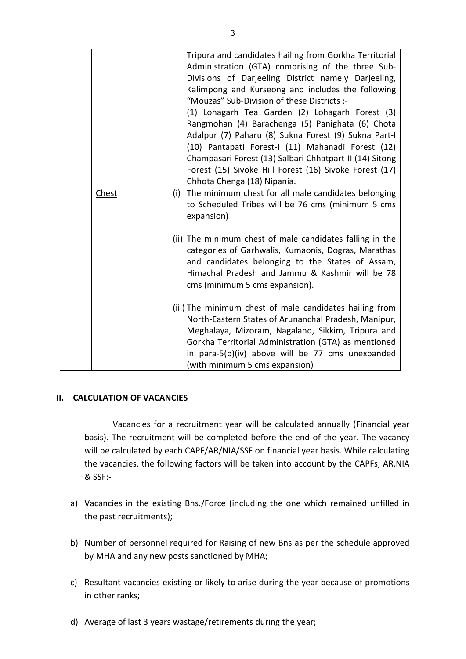|       | Tripura and candidates hailing from Gorkha Territorial<br>Administration (GTA) comprising of the three Sub-<br>Divisions of Darjeeling District namely Darjeeling,<br>Kalimpong and Kurseong and includes the following<br>"Mouzas" Sub-Division of these Districts :-<br>(1) Lohagarh Tea Garden (2) Lohagarh Forest (3)<br>Rangmohan (4) Barachenga (5) Panighata (6) Chota<br>Adalpur (7) Paharu (8) Sukna Forest (9) Sukna Part-I<br>(10) Pantapati Forest-I (11) Mahanadi Forest (12)<br>Champasari Forest (13) Salbari Chhatpart-II (14) Sitong<br>Forest (15) Sivoke Hill Forest (16) Sivoke Forest (17)<br>Chhota Chenga (18) Nipania. |
|-------|------------------------------------------------------------------------------------------------------------------------------------------------------------------------------------------------------------------------------------------------------------------------------------------------------------------------------------------------------------------------------------------------------------------------------------------------------------------------------------------------------------------------------------------------------------------------------------------------------------------------------------------------|
| Chest | (i) The minimum chest for all male candidates belonging<br>to Scheduled Tribes will be 76 cms (minimum 5 cms<br>expansion)                                                                                                                                                                                                                                                                                                                                                                                                                                                                                                                     |
|       | (ii) The minimum chest of male candidates falling in the<br>categories of Garhwalis, Kumaonis, Dogras, Marathas<br>and candidates belonging to the States of Assam,<br>Himachal Pradesh and Jammu & Kashmir will be 78<br>cms (minimum 5 cms expansion).                                                                                                                                                                                                                                                                                                                                                                                       |
|       | (iii) The minimum chest of male candidates hailing from<br>North-Eastern States of Arunanchal Pradesh, Manipur,<br>Meghalaya, Mizoram, Nagaland, Sikkim, Tripura and<br>Gorkha Territorial Administration (GTA) as mentioned<br>in para-5(b)(iv) above will be 77 cms unexpanded<br>(with minimum 5 cms expansion)                                                                                                                                                                                                                                                                                                                             |

#### **II. CALCULATION OF VACANCIES**

Vacancies for a recruitment year will be calculated annually (Financial year basis). The recruitment will be completed before the end of the year. The vacancy will be calculated by each CAPF/AR/NIA/SSF on financial year basis. While calculating the vacancies, the following factors will be taken into account by the CAPFs, AR,NIA & SSF:-

- a) Vacancies in the existing Bns./Force (including the one which remained unfilled in the past recruitments);
- b) Number of personnel required for Raising of new Bns as per the schedule approved by MHA and any new posts sanctioned by MHA;
- c) Resultant vacancies existing or likely to arise during the year because of promotions in other ranks;
- d) Average of last 3 years wastage/retirements during the year;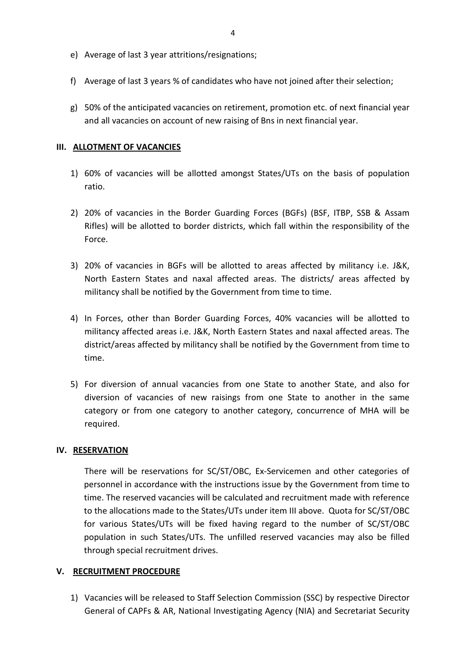- e) Average of last 3 year attritions/resignations;
- f) Average of last 3 years % of candidates who have not joined after their selection;
- g) 50% of the anticipated vacancies on retirement, promotion etc. of next financial year and all vacancies on account of new raising of Bns in next financial year.

#### **III. ALLOTMENT OF VACANCIES**

- 1) 60% of vacancies will be allotted amongst States/UTs on the basis of population ratio.
- 2) 20% of vacancies in the Border Guarding Forces (BGFs) (BSF, ITBP, SSB & Assam Rifles) will be allotted to border districts, which fall within the responsibility of the Force.
- 3) 20% of vacancies in BGFs will be allotted to areas affected by militancy i.e. J&K, North Eastern States and naxal affected areas. The districts/ areas affected by militancy shall be notified by the Government from time to time.
- 4) In Forces, other than Border Guarding Forces, 40% vacancies will be allotted to militancy affected areas i.e. J&K, North Eastern States and naxal affected areas. The district/areas affected by militancy shall be notified by the Government from time to time.
- 5) For diversion of annual vacancies from one State to another State, and also for diversion of vacancies of new raisings from one State to another in the same category or from one category to another category, concurrence of MHA will be required.

#### **IV. RESERVATION**

There will be reservations for SC/ST/OBC, Ex-Servicemen and other categories of personnel in accordance with the instructions issue by the Government from time to time. The reserved vacancies will be calculated and recruitment made with reference to the allocations made to the States/UTs under item III above. Quota for SC/ST/OBC for various States/UTs will be fixed having regard to the number of SC/ST/OBC population in such States/UTs. The unfilled reserved vacancies may also be filled through special recruitment drives.

#### **V. RECRUITMENT PROCEDURE**

1) Vacancies will be released to Staff Selection Commission (SSC) by respective Director General of CAPFs & AR, National Investigating Agency (NIA) and Secretariat Security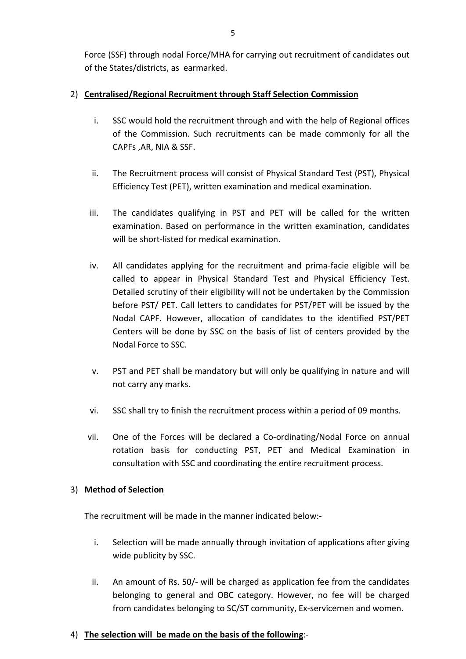Force (SSF) through nodal Force/MHA for carrying out recruitment of candidates out of the States/districts, as earmarked.

### 2) **Centralised/Regional Recruitment through Staff Selection Commission**

- i. SSC would hold the recruitment through and with the help of Regional offices of the Commission. Such recruitments can be made commonly for all the CAPFs ,AR, NIA & SSF.
- ii. The Recruitment process will consist of Physical Standard Test (PST), Physical Efficiency Test (PET), written examination and medical examination.
- iii. The candidates qualifying in PST and PET will be called for the written examination. Based on performance in the written examination, candidates will be short-listed for medical examination.
- iv. All candidates applying for the recruitment and prima-facie eligible will be called to appear in Physical Standard Test and Physical Efficiency Test. Detailed scrutiny of their eligibility will not be undertaken by the Commission before PST/ PET. Call letters to candidates for PST/PET will be issued by the Nodal CAPF. However, allocation of candidates to the identified PST/PET Centers will be done by SSC on the basis of list of centers provided by the Nodal Force to SSC.
- v. PST and PET shall be mandatory but will only be qualifying in nature and will not carry any marks.
- vi. SSC shall try to finish the recruitment process within a period of 09 months.
- vii. One of the Forces will be declared a Co-ordinating/Nodal Force on annual rotation basis for conducting PST, PET and Medical Examination in consultation with SSC and coordinating the entire recruitment process.

### 3) **Method of Selection**

The recruitment will be made in the manner indicated below:-

- i. Selection will be made annually through invitation of applications after giving wide publicity by SSC.
- ii. An amount of Rs. 50/- will be charged as application fee from the candidates belonging to general and OBC category. However, no fee will be charged from candidates belonging to SC/ST community, Ex-servicemen and women.

### 4) **The selection will be made on the basis of the following**:-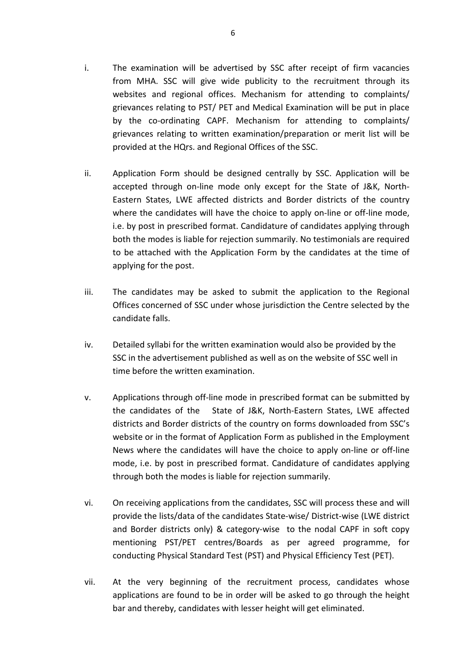- i. The examination will be advertised by SSC after receipt of firm vacancies from MHA. SSC will give wide publicity to the recruitment through its websites and regional offices. Mechanism for attending to complaints/ grievances relating to PST/ PET and Medical Examination will be put in place by the co-ordinating CAPF. Mechanism for attending to complaints/ grievances relating to written examination/preparation or merit list will be provided at the HQrs. and Regional Offices of the SSC.
- ii. Application Form should be designed centrally by SSC. Application will be accepted through on-line mode only except for the State of J&K, North-Eastern States, LWE affected districts and Border districts of the country where the candidates will have the choice to apply on-line or off-line mode, i.e. by post in prescribed format. Candidature of candidates applying through both the modes is liable for rejection summarily. No testimonials are required to be attached with the Application Form by the candidates at the time of applying for the post.
- iii. The candidates may be asked to submit the application to the Regional Offices concerned of SSC under whose jurisdiction the Centre selected by the candidate falls.
- iv. Detailed syllabi for the written examination would also be provided by the SSC in the advertisement published as well as on the website of SSC well in time before the written examination.
- v. Applications through off-line mode in prescribed format can be submitted by the candidates of the State of J&K, North-Eastern States, LWE affected districts and Border districts of the country on forms downloaded from SSC's website or in the format of Application Form as published in the Employment News where the candidates will have the choice to apply on-line or off-line mode, i.e. by post in prescribed format. Candidature of candidates applying through both the modes is liable for rejection summarily.
- vi. On receiving applications from the candidates, SSC will process these and will provide the lists/data of the candidates State-wise/ District-wise (LWE district and Border districts only) & category-wise to the nodal CAPF in soft copy mentioning PST/PET centres/Boards as per agreed programme, for conducting Physical Standard Test (PST) and Physical Efficiency Test (PET).
- vii. At the very beginning of the recruitment process, candidates whose applications are found to be in order will be asked to go through the height bar and thereby, candidates with lesser height will get eliminated.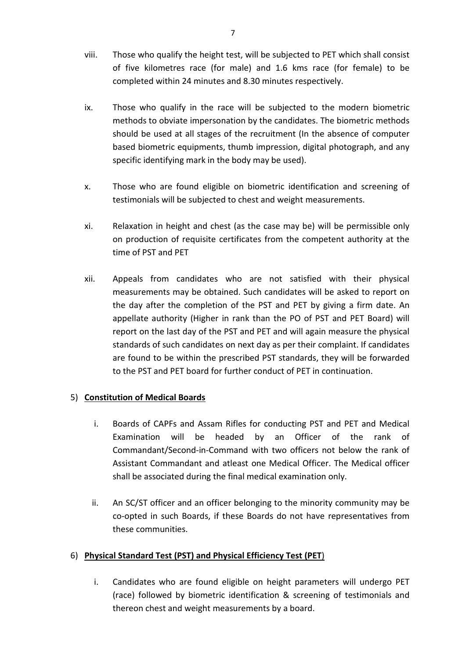- viii. Those who qualify the height test, will be subjected to PET which shall consist of five kilometres race (for male) and 1.6 kms race (for female) to be completed within 24 minutes and 8.30 minutes respectively.
- ix. Those who qualify in the race will be subjected to the modern biometric methods to obviate impersonation by the candidates. The biometric methods should be used at all stages of the recruitment (In the absence of computer based biometric equipments, thumb impression, digital photograph, and any specific identifying mark in the body may be used).
- x. Those who are found eligible on biometric identification and screening of testimonials will be subjected to chest and weight measurements.
- xi. Relaxation in height and chest (as the case may be) will be permissible only on production of requisite certificates from the competent authority at the time of PST and PET
- xii. Appeals from candidates who are not satisfied with their physical measurements may be obtained. Such candidates will be asked to report on the day after the completion of the PST and PET by giving a firm date. An appellate authority (Higher in rank than the PO of PST and PET Board) will report on the last day of the PST and PET and will again measure the physical standards of such candidates on next day as per their complaint. If candidates are found to be within the prescribed PST standards, they will be forwarded to the PST and PET board for further conduct of PET in continuation.

### 5) **Constitution of Medical Boards**

- i. Boards of CAPFs and Assam Rifles for conducting PST and PET and Medical Examination will be headed by an Officer of the rank of Commandant/Second-in-Command with two officers not below the rank of Assistant Commandant and atleast one Medical Officer. The Medical officer shall be associated during the final medical examination only.
- ii. An SC/ST officer and an officer belonging to the minority community may be co-opted in such Boards, if these Boards do not have representatives from these communities.

### 6) **Physical Standard Test (PST) and Physical Efficiency Test (PET**)

i. Candidates who are found eligible on height parameters will undergo PET (race) followed by biometric identification & screening of testimonials and thereon chest and weight measurements by a board.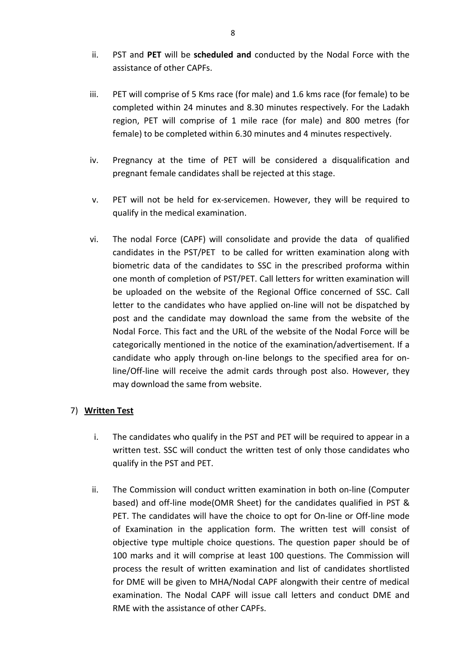- ii. PST and **PET** will be **scheduled and** conducted by the Nodal Force with the assistance of other CAPFs.
- iii. PET will comprise of 5 Kms race (for male) and 1.6 kms race (for female) to be completed within 24 minutes and 8.30 minutes respectively. For the Ladakh region, PET will comprise of 1 mile race (for male) and 800 metres (for female) to be completed within 6.30 minutes and 4 minutes respectively.
- iv. Pregnancy at the time of PET will be considered a disqualification and pregnant female candidates shall be rejected at this stage.
- v. PET will not be held for ex-servicemen. However, they will be required to qualify in the medical examination.
- vi. The nodal Force (CAPF) will consolidate and provide the data of qualified candidates in the PST/PET to be called for written examination along with biometric data of the candidates to SSC in the prescribed proforma within one month of completion of PST/PET. Call letters for written examination will be uploaded on the website of the Regional Office concerned of SSC. Call letter to the candidates who have applied on-line will not be dispatched by post and the candidate may download the same from the website of the Nodal Force. This fact and the URL of the website of the Nodal Force will be categorically mentioned in the notice of the examination/advertisement. If a candidate who apply through on-line belongs to the specified area for online/Off-line will receive the admit cards through post also. However, they may download the same from website.

### 7) **Written Test**

- i. The candidates who qualify in the PST and PET will be required to appear in a written test. SSC will conduct the written test of only those candidates who qualify in the PST and PET.
- ii. The Commission will conduct written examination in both on-line (Computer based) and off-line mode(OMR Sheet) for the candidates qualified in PST & PET. The candidates will have the choice to opt for On-line or Off-line mode of Examination in the application form. The written test will consist of objective type multiple choice questions. The question paper should be of 100 marks and it will comprise at least 100 questions. The Commission will process the result of written examination and list of candidates shortlisted for DME will be given to MHA/Nodal CAPF alongwith their centre of medical examination. The Nodal CAPF will issue call letters and conduct DME and RME with the assistance of other CAPFs.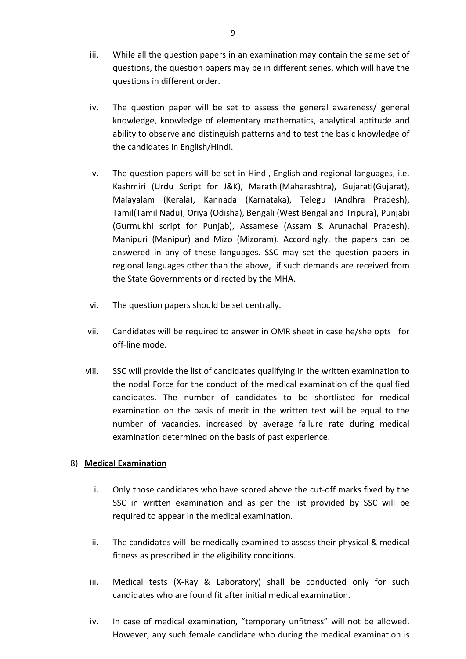- iii. While all the question papers in an examination may contain the same set of questions, the question papers may be in different series, which will have the questions in different order.
- iv. The question paper will be set to assess the general awareness/ general knowledge, knowledge of elementary mathematics, analytical aptitude and ability to observe and distinguish patterns and to test the basic knowledge of the candidates in English/Hindi.
- v. The question papers will be set in Hindi, English and regional languages, i.e. Kashmiri (Urdu Script for J&K), Marathi(Maharashtra), Gujarati(Gujarat), Malayalam (Kerala), Kannada (Karnataka), Telegu (Andhra Pradesh), Tamil(Tamil Nadu), Oriya (Odisha), Bengali (West Bengal and Tripura), Punjabi (Gurmukhi script for Punjab), Assamese (Assam & Arunachal Pradesh), Manipuri (Manipur) and Mizo (Mizoram). Accordingly, the papers can be answered in any of these languages. SSC may set the question papers in regional languages other than the above, if such demands are received from the State Governments or directed by the MHA.
- vi. The question papers should be set centrally.
- vii. Candidates will be required to answer in OMR sheet in case he/she opts for off-line mode.
- viii. SSC will provide the list of candidates qualifying in the written examination to the nodal Force for the conduct of the medical examination of the qualified candidates. The number of candidates to be shortlisted for medical examination on the basis of merit in the written test will be equal to the number of vacancies, increased by average failure rate during medical examination determined on the basis of past experience.

### 8) **Medical Examination**

- i. Only those candidates who have scored above the cut-off marks fixed by the SSC in written examination and as per the list provided by SSC will be required to appear in the medical examination.
- ii. The candidates will be medically examined to assess their physical & medical fitness as prescribed in the eligibility conditions.
- iii. Medical tests (X-Ray & Laboratory) shall be conducted only for such candidates who are found fit after initial medical examination.
- iv. In case of medical examination, "temporary unfitness" will not be allowed. However, any such female candidate who during the medical examination is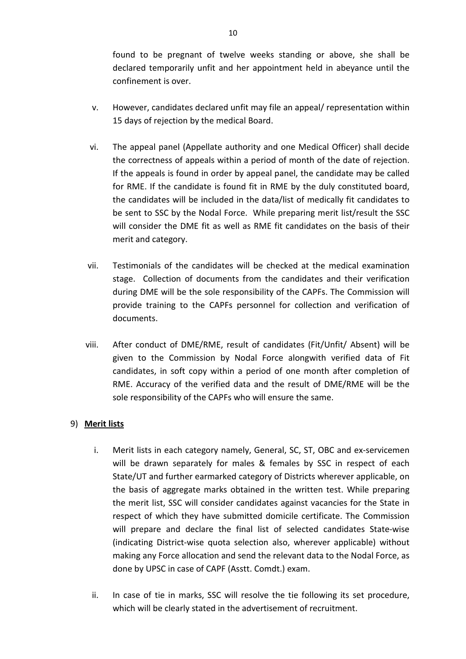found to be pregnant of twelve weeks standing or above, she shall be declared temporarily unfit and her appointment held in abeyance until the confinement is over.

- v. However, candidates declared unfit may file an appeal/ representation within 15 days of rejection by the medical Board.
- vi. The appeal panel (Appellate authority and one Medical Officer) shall decide the correctness of appeals within a period of month of the date of rejection. If the appeals is found in order by appeal panel, the candidate may be called for RME. If the candidate is found fit in RME by the duly constituted board, the candidates will be included in the data/list of medically fit candidates to be sent to SSC by the Nodal Force. While preparing merit list/result the SSC will consider the DME fit as well as RME fit candidates on the basis of their merit and category.
- vii. Testimonials of the candidates will be checked at the medical examination stage. Collection of documents from the candidates and their verification during DME will be the sole responsibility of the CAPFs. The Commission will provide training to the CAPFs personnel for collection and verification of documents.
- viii. After conduct of DME/RME, result of candidates (Fit/Unfit/ Absent) will be given to the Commission by Nodal Force alongwith verified data of Fit candidates, in soft copy within a period of one month after completion of RME. Accuracy of the verified data and the result of DME/RME will be the sole responsibility of the CAPFs who will ensure the same.

### 9) **Merit lists**

- i. Merit lists in each category namely, General, SC, ST, OBC and ex-servicemen will be drawn separately for males & females by SSC in respect of each State/UT and further earmarked category of Districts wherever applicable, on the basis of aggregate marks obtained in the written test. While preparing the merit list, SSC will consider candidates against vacancies for the State in respect of which they have submitted domicile certificate. The Commission will prepare and declare the final list of selected candidates State-wise (indicating District-wise quota selection also, wherever applicable) without making any Force allocation and send the relevant data to the Nodal Force, as done by UPSC in case of CAPF (Asstt. Comdt.) exam.
- ii. In case of tie in marks, SSC will resolve the tie following its set procedure, which will be clearly stated in the advertisement of recruitment.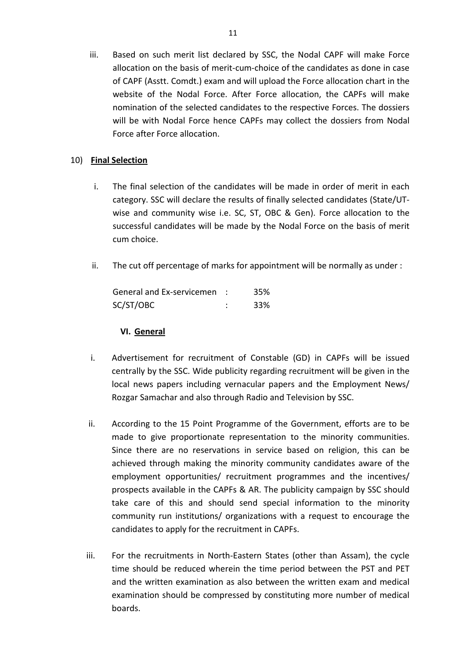iii. Based on such merit list declared by SSC, the Nodal CAPF will make Force allocation on the basis of merit-cum-choice of the candidates as done in case of CAPF (Asstt. Comdt.) exam and will upload the Force allocation chart in the website of the Nodal Force. After Force allocation, the CAPFs will make nomination of the selected candidates to the respective Forces. The dossiers will be with Nodal Force hence CAPFs may collect the dossiers from Nodal Force after Force allocation.

#### 10) **Final Selection**

- i. The final selection of the candidates will be made in order of merit in each category. SSC will declare the results of finally selected candidates (State/UTwise and community wise i.e. SC, ST, OBC & Gen). Force allocation to the successful candidates will be made by the Nodal Force on the basis of merit cum choice.
- ii. The cut off percentage of marks for appointment will be normally as under :

| General and Ex-servicemen | 35% |
|---------------------------|-----|
| SC/ST/OBC                 | 33% |

### **VI. General**

- i. Advertisement for recruitment of Constable (GD) in CAPFs will be issued centrally by the SSC. Wide publicity regarding recruitment will be given in the local news papers including vernacular papers and the Employment News/ Rozgar Samachar and also through Radio and Television by SSC.
- ii. According to the 15 Point Programme of the Government, efforts are to be made to give proportionate representation to the minority communities. Since there are no reservations in service based on religion, this can be achieved through making the minority community candidates aware of the employment opportunities/ recruitment programmes and the incentives/ prospects available in the CAPFs & AR. The publicity campaign by SSC should take care of this and should send special information to the minority community run institutions/ organizations with a request to encourage the candidates to apply for the recruitment in CAPFs.
- iii. For the recruitments in North-Eastern States (other than Assam), the cycle time should be reduced wherein the time period between the PST and PET and the written examination as also between the written exam and medical examination should be compressed by constituting more number of medical boards.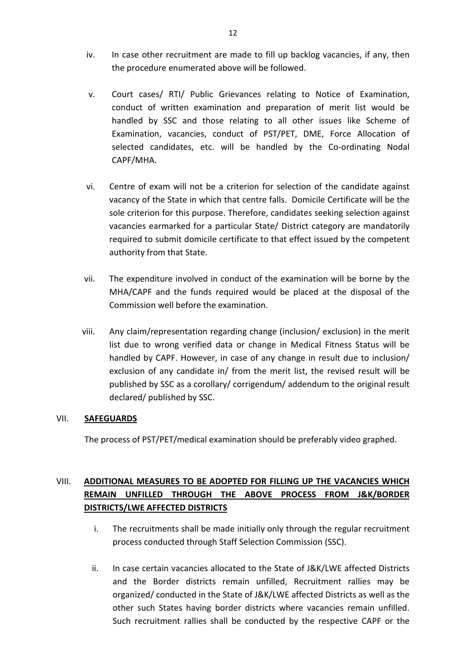- iv. In case other recruitment are made to fill up backlog vacancies, if any, then the procedure enumerated above will be followed.
- v. Court cases/ RTI/ Public Grievances relating to Notice of Examination, conduct of written examination and preparation of merit list would be handled by SSC and those relating to all other issues like Scheme of Examination, vacancies, conduct of PST/PET, DME, Force Allocation of selected candidates, etc. will be handled by the Co-ordinating Nodal CAPF/MHA.
- vi. Centre of exam will not be a criterion for selection of the candidate against vacancy of the State in which that centre falls. Domicile Certificate will be the sole criterion for this purpose. Therefore, candidates seeking selection against vacancies earmarked for a particular State/ District category are mandatorily required to submit domicile certificate to that effect issued by the competent authority from that State.
- vii. The expenditure involved in conduct of the examination will be borne by the MHA/CAPF and the funds required would be placed at the disposal of the Commission well before the examination.
- viii. Any claim/representation regarding change (inclusion/ exclusion) in the merit list due to wrong verified data or change in Medical Fitness Status will be handled by CAPF. However, in case of any change in result due to inclusion/ exclusion of any candidate in/ from the merit list, the revised result will be published by SSC as a corollary/ corrigendum/ addendum to the original result declared/ published by SSC.

#### VII. **SAFEGUARDS**

The process of PST/PET/medical examination should be preferably video graphed.

## VIII. **ADDITIONAL MEASURES TO BE ADOPTED FOR FILLING UP THE VACANCIES WHICH REMAIN UNFILLED THROUGH THE ABOVE PROCESS FROM J&K/BORDER DISTRICTS/LWE AFFECTED DISTRICTS**

- i. The recruitments shall be made initially only through the regular recruitment process conducted through Staff Selection Commission (SSC).
- ii. In case certain vacancies allocated to the State of J&K/LWE affected Districts and the Border districts remain unfilled, Recruitment rallies may be organized/ conducted in the State of J&K/LWE affected Districts as well as the other such States having border districts where vacancies remain unfilled. Such recruitment rallies shall be conducted by the respective CAPF or the